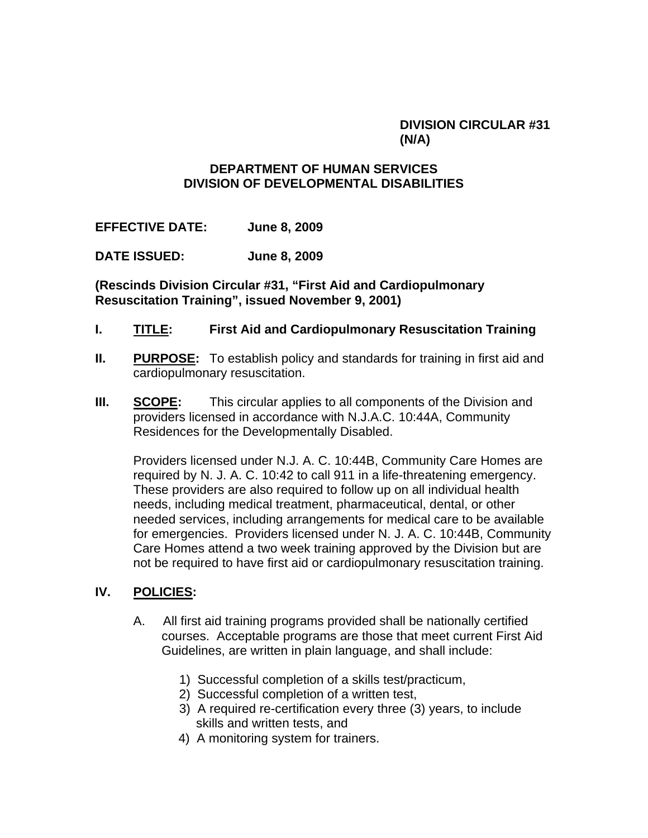## **DIVISION CIRCULAR #31 (N/A)**

## **DEPARTMENT OF HUMAN SERVICES DIVISION OF DEVELOPMENTAL DISABILITIES**

**EFFECTIVE DATE: June 8, 2009**

**DATE ISSUED: June 8, 2009** 

**(Rescinds Division Circular #31, "First Aid and Cardiopulmonary Resuscitation Training", issued November 9, 2001)** 

- **I. TITLE: First Aid and Cardiopulmonary Resuscitation Training**
- **II.** PURPOSE: To establish policy and standards for training in first aid and cardiopulmonary resuscitation.
- **III. SCOPE:** This circular applies to all components of the Division and providers licensed in accordance with N.J.A.C. 10:44A, Community Residences for the Developmentally Disabled.

Providers licensed under N.J. A. C. 10:44B, Community Care Homes are required by N. J. A. C. 10:42 to call 911 in a life-threatening emergency. These providers are also required to follow up on all individual health needs, including medical treatment, pharmaceutical, dental, or other needed services, including arrangements for medical care to be available for emergencies. Providers licensed under N. J. A. C. 10:44B, Community Care Homes attend a two week training approved by the Division but are not be required to have first aid or cardiopulmonary resuscitation training.

## **IV. POLICIES:**

- A. All first aid training programs provided shall be nationally certified courses. Acceptable programs are those that meet current First Aid Guidelines, are written in plain language, and shall include:
	- 1) Successful completion of a skills test/practicum,
	- 2) Successful completion of a written test,
	- 3) A required re-certification every three (3) years, to include skills and written tests, and
	- 4) A monitoring system for trainers.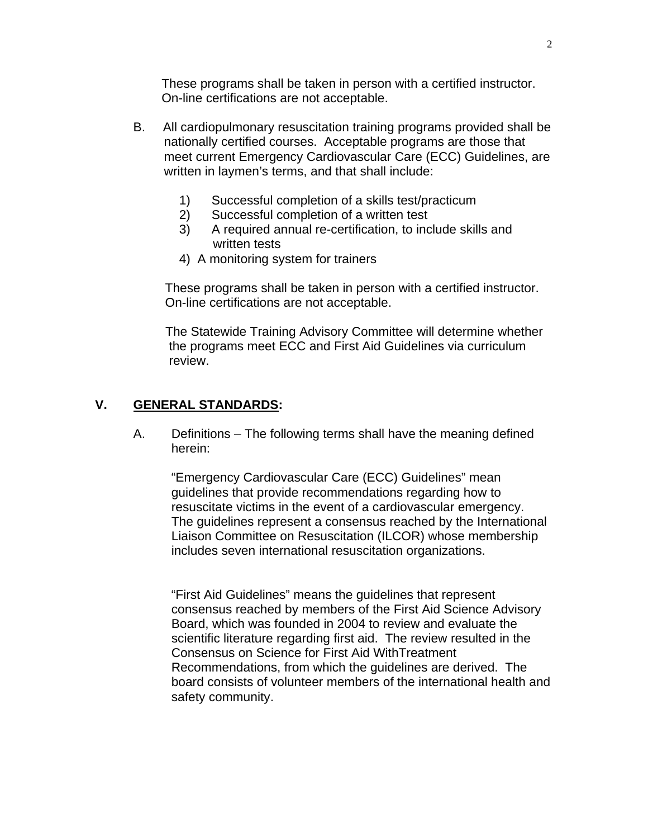These programs shall be taken in person with a certified instructor. On-line certifications are not acceptable.

- B. All cardiopulmonary resuscitation training programs provided shall be nationally certified courses. Acceptable programs are those that meet current Emergency Cardiovascular Care (ECC) Guidelines, are written in laymen's terms, and that shall include:
	- 1) Successful completion of a skills test/practicum
	- 2) Successful completion of a written test
	- 3) A required annual re-certification, to include skills and written tests
	- 4) A monitoring system for trainers

 These programs shall be taken in person with a certified instructor. On-line certifications are not acceptable.

 The Statewide Training Advisory Committee will determine whether the programs meet ECC and First Aid Guidelines via curriculum review.

## **V. GENERAL STANDARDS:**

A. Definitions – The following terms shall have the meaning defined herein:

 "Emergency Cardiovascular Care (ECC) Guidelines" mean guidelines that provide recommendations regarding how to resuscitate victims in the event of a cardiovascular emergency. The guidelines represent a consensus reached by the International Liaison Committee on Resuscitation (ILCOR) whose membership includes seven international resuscitation organizations.

 "First Aid Guidelines" means the guidelines that represent consensus reached by members of the First Aid Science Advisory Board, which was founded in 2004 to review and evaluate the scientific literature regarding first aid. The review resulted in the Consensus on Science for First Aid WithTreatment Recommendations, from which the guidelines are derived. The board consists of volunteer members of the international health and safety community.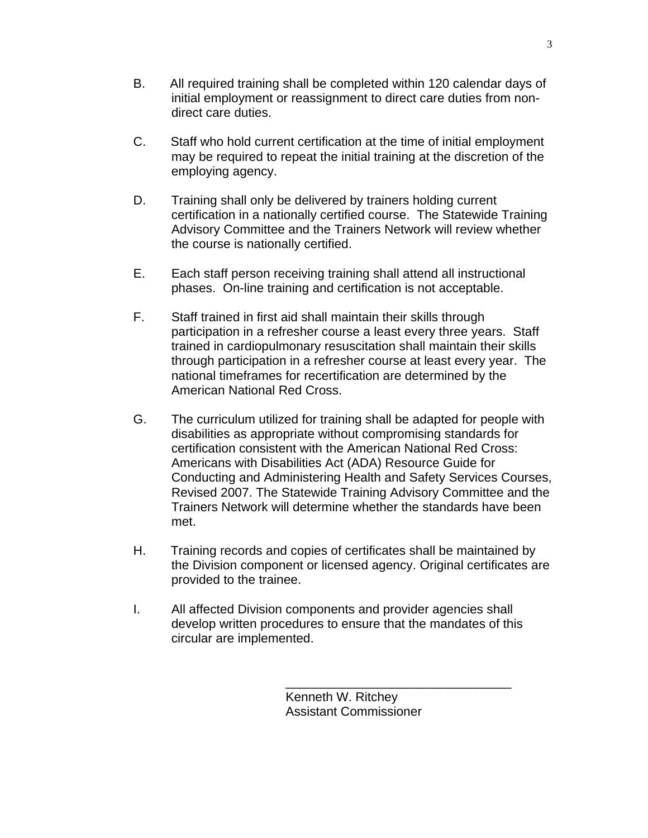- B. All required training shall be completed within 120 calendar days of initial employment or reassignment to direct care duties from nondirect care duties.
- C. Staff who hold current certification at the time of initial employment may be required to repeat the initial training at the discretion of the employing agency.
- D. Training shall only be delivered by trainers holding current certification in a nationally certified course. The Statewide Training Advisory Committee and the Trainers Network will review whether the course is nationally certified.
- E. Each staff person receiving training shall attend all instructional phases. On-line training and certification is not acceptable.
- F. Staff trained in first aid shall maintain their skills through participation in a refresher course a least every three years. Staff trained in cardiopulmonary resuscitation shall maintain their skills through participation in a refresher course at least every year. The national timeframes for recertification are determined by the American National Red Cross.
- G. The curriculum utilized for training shall be adapted for people with disabilities as appropriate without compromising standards for certification consistent with the American National Red Cross: Americans with Disabilities Act (ADA) Resource Guide for Conducting and Administering Health and Safety Services Courses, Revised 2007. The Statewide Training Advisory Committee and the Trainers Network will determine whether the standards have been met.
- H. Training records and copies of certificates shall be maintained by the Division component or licensed agency. Original certificates are provided to the trainee.
- I. All affected Division components and provider agencies shall develop written procedures to ensure that the mandates of this circular are implemented.

 $\frac{1}{\sqrt{2}}$  ,  $\frac{1}{\sqrt{2}}$  ,  $\frac{1}{\sqrt{2}}$  ,  $\frac{1}{\sqrt{2}}$  ,  $\frac{1}{\sqrt{2}}$  ,  $\frac{1}{\sqrt{2}}$  ,  $\frac{1}{\sqrt{2}}$  ,  $\frac{1}{\sqrt{2}}$  ,  $\frac{1}{\sqrt{2}}$  ,  $\frac{1}{\sqrt{2}}$  ,  $\frac{1}{\sqrt{2}}$  ,  $\frac{1}{\sqrt{2}}$  ,  $\frac{1}{\sqrt{2}}$  ,  $\frac{1}{\sqrt{2}}$  ,  $\frac{1}{\sqrt{2}}$ 

 Kenneth W. Ritchey Assistant Commissioner